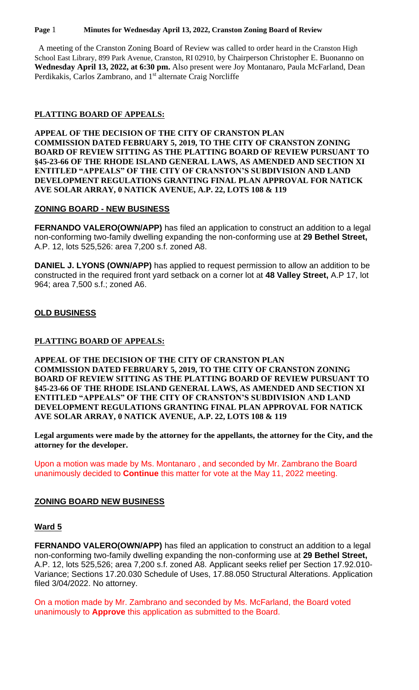#### **Page** 1 **Minutes for Wednesday April 13, 2022, Cranston Zoning Board of Review**

 A meeting of the Cranston Zoning Board of Review was called to order heard in the Cranston High School East Library, 899 Park Avenue, Cranston, RI 02910, by Chairperson Christopher E. Buonanno on **Wednesday April 13, 2022, at 6:30 pm.** Also present were Joy Montanaro, Paula McFarland, Dean Perdikakis, Carlos Zambrano, and 1<sup>st</sup> alternate Craig Norcliffe

### **PLATTING BOARD OF APPEALS:**

**APPEAL OF THE DECISION OF THE CITY OF CRANSTON PLAN COMMISSION DATED FEBRUARY 5, 2019, TO THE CITY OF CRANSTON ZONING BOARD OF REVIEW SITTING AS THE PLATTING BOARD OF REVIEW PURSUANT TO §45-23-66 OF THE RHODE ISLAND GENERAL LAWS, AS AMENDED AND SECTION XI ENTITLED "APPEALS" OF THE CITY OF CRANSTON'S SUBDIVISION AND LAND DEVELOPMENT REGULATIONS GRANTING FINAL PLAN APPROVAL FOR NATICK AVE SOLAR ARRAY, 0 NATICK AVENUE, A.P. 22, LOTS 108 & 119**

# **ZONING BOARD - NEW BUSINESS**

**FERNANDO VALERO(OWN/APP)** has filed an application to construct an addition to a legal non-conforming two-family dwelling expanding the non-conforming use at **29 Bethel Street,**  A.P. 12, lots 525,526: area 7,200 s.f. zoned A8.

**DANIEL J. LYONS (OWN/APP)** has applied to request permission to allow an addition to be constructed in the required front yard setback on a corner lot at **48 Valley Street,** A.P 17, lot 964; area 7,500 s.f.; zoned A6.

# **OLD BUSINESS**

### **PLATTING BOARD OF APPEALS:**

**APPEAL OF THE DECISION OF THE CITY OF CRANSTON PLAN COMMISSION DATED FEBRUARY 5, 2019, TO THE CITY OF CRANSTON ZONING BOARD OF REVIEW SITTING AS THE PLATTING BOARD OF REVIEW PURSUANT TO §45-23-66 OF THE RHODE ISLAND GENERAL LAWS, AS AMENDED AND SECTION XI ENTITLED "APPEALS" OF THE CITY OF CRANSTON'S SUBDIVISION AND LAND DEVELOPMENT REGULATIONS GRANTING FINAL PLAN APPROVAL FOR NATICK AVE SOLAR ARRAY, 0 NATICK AVENUE, A.P. 22, LOTS 108 & 119**

**Legal arguments were made by the attorney for the appellants, the attorney for the City, and the attorney for the developer.**

Upon a motion was made by Ms. Montanaro , and seconded by Mr. Zambrano the Board unanimously decided to **Continue** this matter for vote at the May 11, 2022 meeting.

### **ZONING BOARD NEW BUSINESS**

### **Ward 5**

**FERNANDO VALERO(OWN/APP)** has filed an application to construct an addition to a legal non-conforming two-family dwelling expanding the non-conforming use at **29 Bethel Street,**  A.P. 12, lots 525,526; area 7,200 s.f. zoned A8. Applicant seeks relief per Section 17.92.010- Variance; Sections 17.20.030 Schedule of Uses, 17.88.050 Structural Alterations. Application filed 3/04/2022. No attorney.

On a motion made by Mr. Zambrano and seconded by Ms. McFarland, the Board voted unanimously to **Approve** this application as submitted to the Board.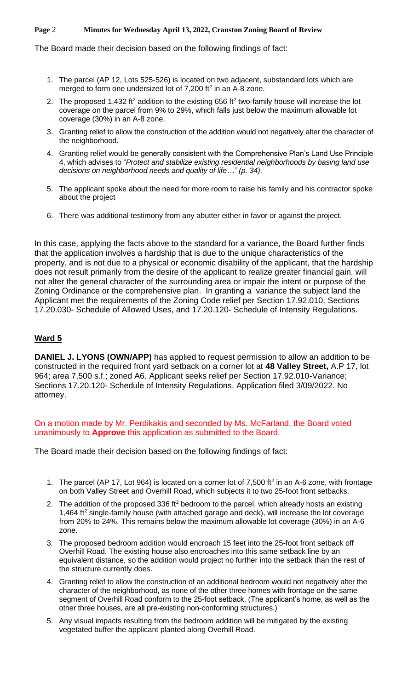### **Page** 2 **Minutes for Wednesday April 13, 2022, Cranston Zoning Board of Review**

The Board made their decision based on the following findings of fact:

- 1. The parcel (AP 12, Lots 525-526) is located on two adjacent, substandard lots which are merged to form one undersized lot of  $7,200$  ft<sup>2</sup> in an A-8 zone.
- 2. The proposed 1,432 ft<sup>2</sup> addition to the existing 656 ft<sup>2</sup> two-family house will increase the lot coverage on the parcel from 9% to 29%, which falls just below the maximum allowable lot coverage (30%) in an A-8 zone.
- 3. Granting relief to allow the construction of the addition would not negatively alter the character of the neighborhood.
- 4. Granting relief would be generally consistent with the Comprehensive Plan's Land Use Principle 4, which advises to "*Protect and stabilize existing residential neighborhoods by basing land use decisions on neighborhood needs and quality of life…" (p. 34)*.
- 5. The applicant spoke about the need for more room to raise his family and his contractor spoke about the project
- 6. There was additional testimony from any abutter either in favor or against the project.

In this case, applying the facts above to the standard for a variance, the Board further finds that the application involves a hardship that is due to the unique characteristics of the property, and is not due to a physical or economic disability of the applicant, that the hardship does not result primarily from the desire of the applicant to realize greater financial gain, will not alter the general character of the surrounding area or impair the intent or purpose of the Zoning Ordinance or the comprehensive plan. In granting a variance the subject land the Applicant met the requirements of the Zoning Code relief per Section 17.92.010, Sections 17.20.030- Schedule of Allowed Uses, and 17.20.120- Schedule of Intensity Regulations.

# **Ward 5**

**DANIEL J. LYONS (OWN/APP)** has applied to request permission to allow an addition to be constructed in the required front yard setback on a corner lot at **48 Valley Street,** A.P 17, lot 964; area 7,500 s.f.; zoned A6. Applicant seeks relief per Section 17.92.010-Variance; Sections 17.20.120- Schedule of Intensity Regulations. Application filed 3/09/2022. No attorney.

On a motion made by Mr. Perdikakis and seconded by Ms. McFarland, the Board voted unanimously to **Approve** this application as submitted to the Board.

The Board made their decision based on the following findings of fact:

- 1. The parcel (AP 17, Lot 964) is located on a corner lot of  $7,500$  ft<sup>2</sup> in an A-6 zone, with frontage on both Valley Street and Overhill Road, which subjects it to two 25-foot front setbacks.
- 2. The addition of the proposed 336 ft<sup>2</sup> bedroom to the parcel, which already hosts an existing 1,464  $\text{ft}^2$  single-family house (with attached garage and deck), will increase the lot coverage from 20% to 24%. This remains below the maximum allowable lot coverage (30%) in an A-6 zone.
- 3. The proposed bedroom addition would encroach 15 feet into the 25-foot front setback off Overhill Road. The existing house also encroaches into this same setback line by an equivalent distance, so the addition would project no further into the setback than the rest of the structure currently does.
- 4. Granting relief to allow the construction of an additional bedroom would not negatively alter the character of the neighborhood, as none of the other three homes with frontage on the same segment of Overhill Road conform to the 25-foot setback. (The applicant's home, as well as the other three houses, are all pre-existing non-conforming structures.)
- 5. Any visual impacts resulting from the bedroom addition will be mitigated by the existing vegetated buffer the applicant planted along Overhill Road.